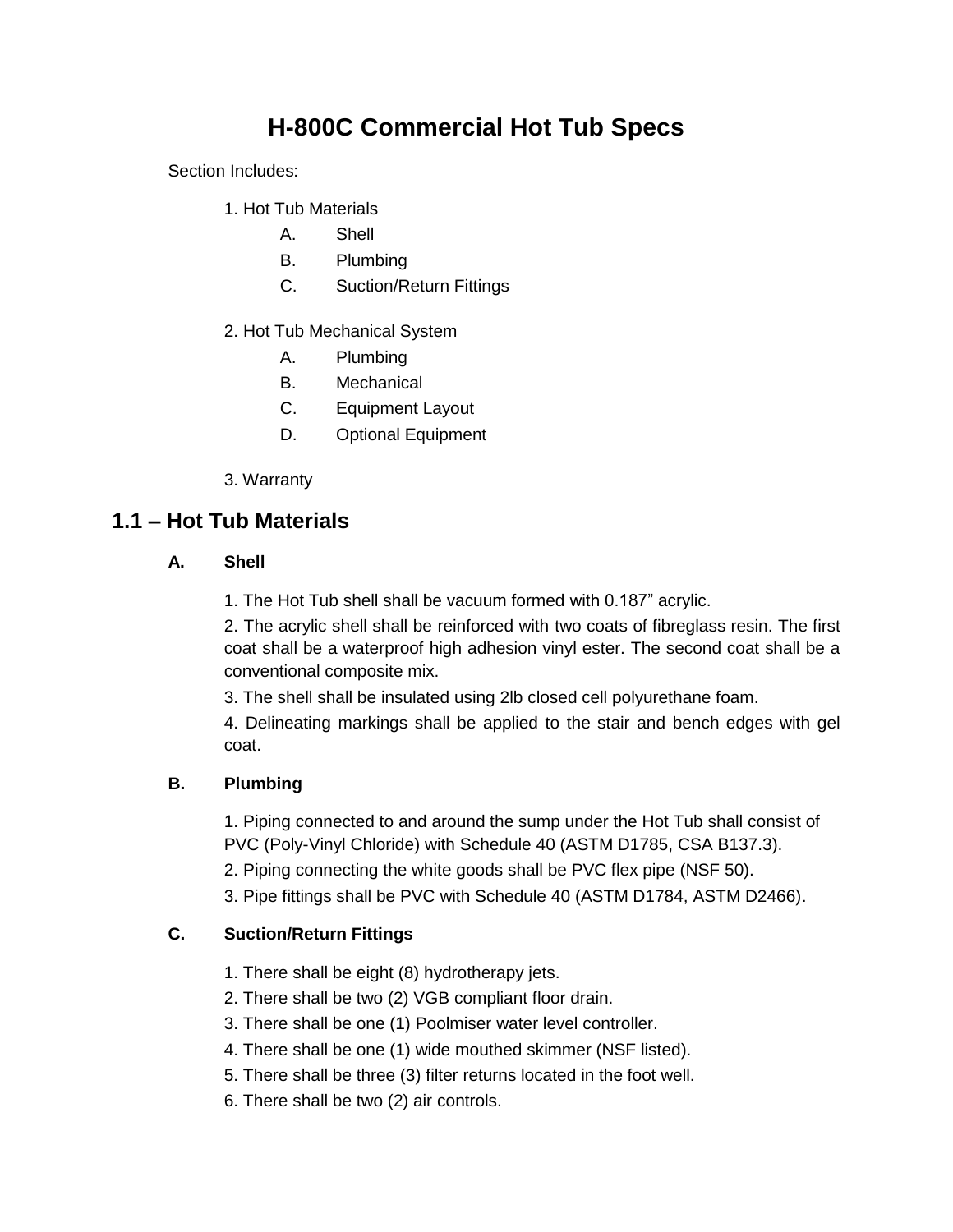# **H-800C Commercial Hot Tub Specs**

Section Includes:

- 1. Hot Tub Materials
	- A. Shell
	- B. Plumbing
	- C. Suction/Return Fittings
- 2. Hot Tub Mechanical System
	- A. Plumbing
	- B. Mechanical
	- C. Equipment Layout
	- D. Optional Equipment
- 3. Warranty

## **1.1 – Hot Tub Materials**

#### **A. Shell**

1. The Hot Tub shell shall be vacuum formed with 0.187" acrylic.

2. The acrylic shell shall be reinforced with two coats of fibreglass resin. The first coat shall be a waterproof high adhesion vinyl ester. The second coat shall be a conventional composite mix.

3. The shell shall be insulated using 2lb closed cell polyurethane foam.

4. Delineating markings shall be applied to the stair and bench edges with gel coat.

#### **B. Plumbing**

1. Piping connected to and around the sump under the Hot Tub shall consist of PVC (Poly-Vinyl Chloride) with Schedule 40 (ASTM D1785, CSA B137.3).

- 2. Piping connecting the white goods shall be PVC flex pipe (NSF 50).
- 3. Pipe fittings shall be PVC with Schedule 40 (ASTM D1784, ASTM D2466).

#### **C. Suction/Return Fittings**

- 1. There shall be eight (8) hydrotherapy jets.
- 2. There shall be two (2) VGB compliant floor drain.
- 3. There shall be one (1) Poolmiser water level controller.
- 4. There shall be one (1) wide mouthed skimmer (NSF listed).
- 5. There shall be three (3) filter returns located in the foot well.
- 6. There shall be two (2) air controls.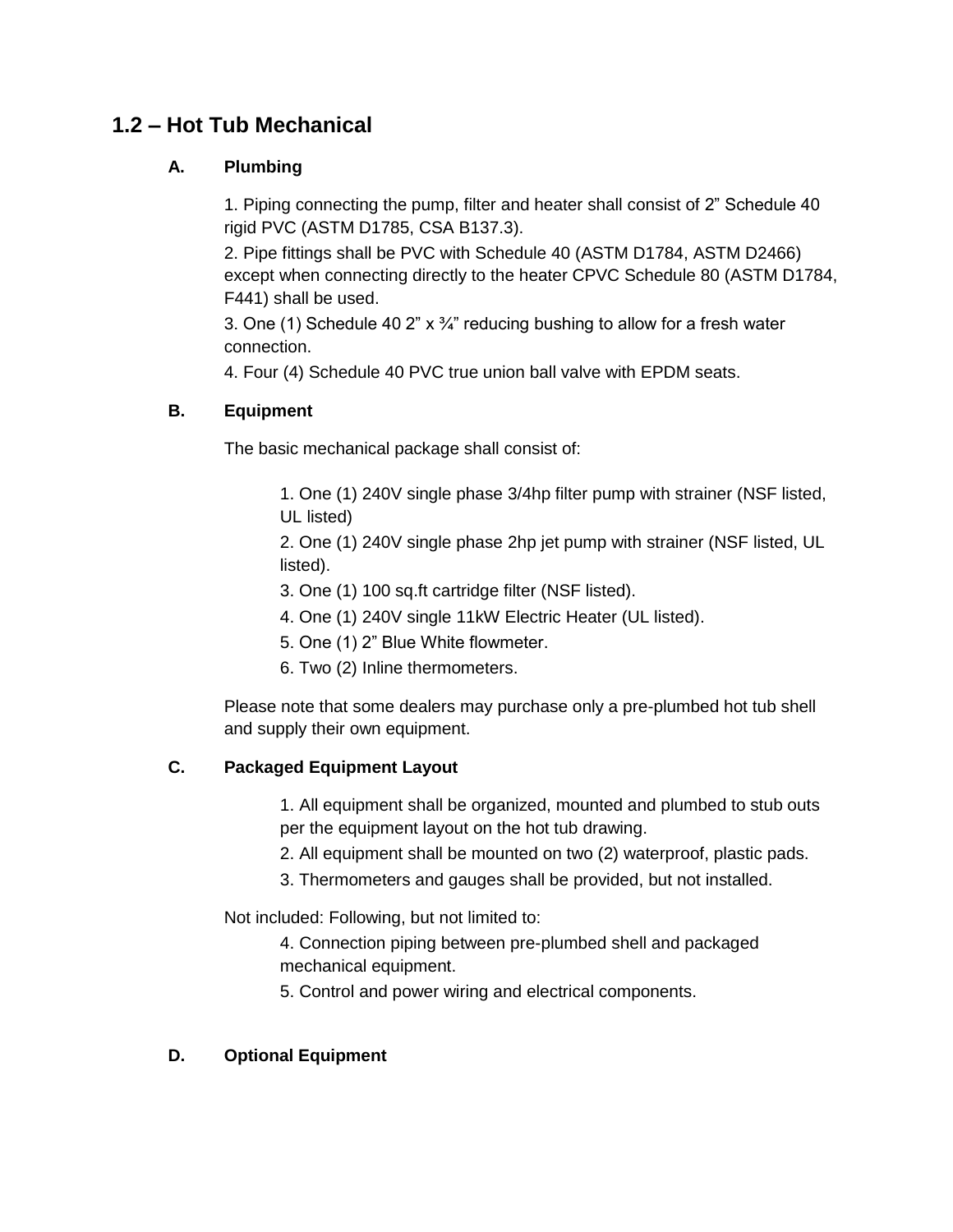# **1.2 – Hot Tub Mechanical**

#### **A. Plumbing**

1. Piping connecting the pump, filter and heater shall consist of 2" Schedule 40 rigid PVC (ASTM D1785, CSA B137.3).

2. Pipe fittings shall be PVC with Schedule 40 (ASTM D1784, ASTM D2466) except when connecting directly to the heater CPVC Schedule 80 (ASTM D1784, F441) shall be used.

3. One (1) Schedule 40 2"  $x \frac{3}{4}$ " reducing bushing to allow for a fresh water connection.

4. Four (4) Schedule 40 PVC true union ball valve with EPDM seats.

#### **B. Equipment**

The basic mechanical package shall consist of:

1. One (1) 240V single phase 3/4hp filter pump with strainer (NSF listed, UL listed)

2. One (1) 240V single phase 2hp jet pump with strainer (NSF listed, UL listed).

- 3. One (1) 100 sq.ft cartridge filter (NSF listed).
- 4. One (1) 240V single 11kW Electric Heater (UL listed).
- 5. One (1) 2" Blue White flowmeter.
- 6. Two (2) Inline thermometers.

Please note that some dealers may purchase only a pre-plumbed hot tub shell and supply their own equipment.

#### **C. Packaged Equipment Layout**

1. All equipment shall be organized, mounted and plumbed to stub outs per the equipment layout on the hot tub drawing.

- 2. All equipment shall be mounted on two (2) waterproof, plastic pads.
- 3. Thermometers and gauges shall be provided, but not installed.

Not included: Following, but not limited to:

- 4. Connection piping between pre-plumbed shell and packaged mechanical equipment.
- 5. Control and power wiring and electrical components.

#### **D. Optional Equipment**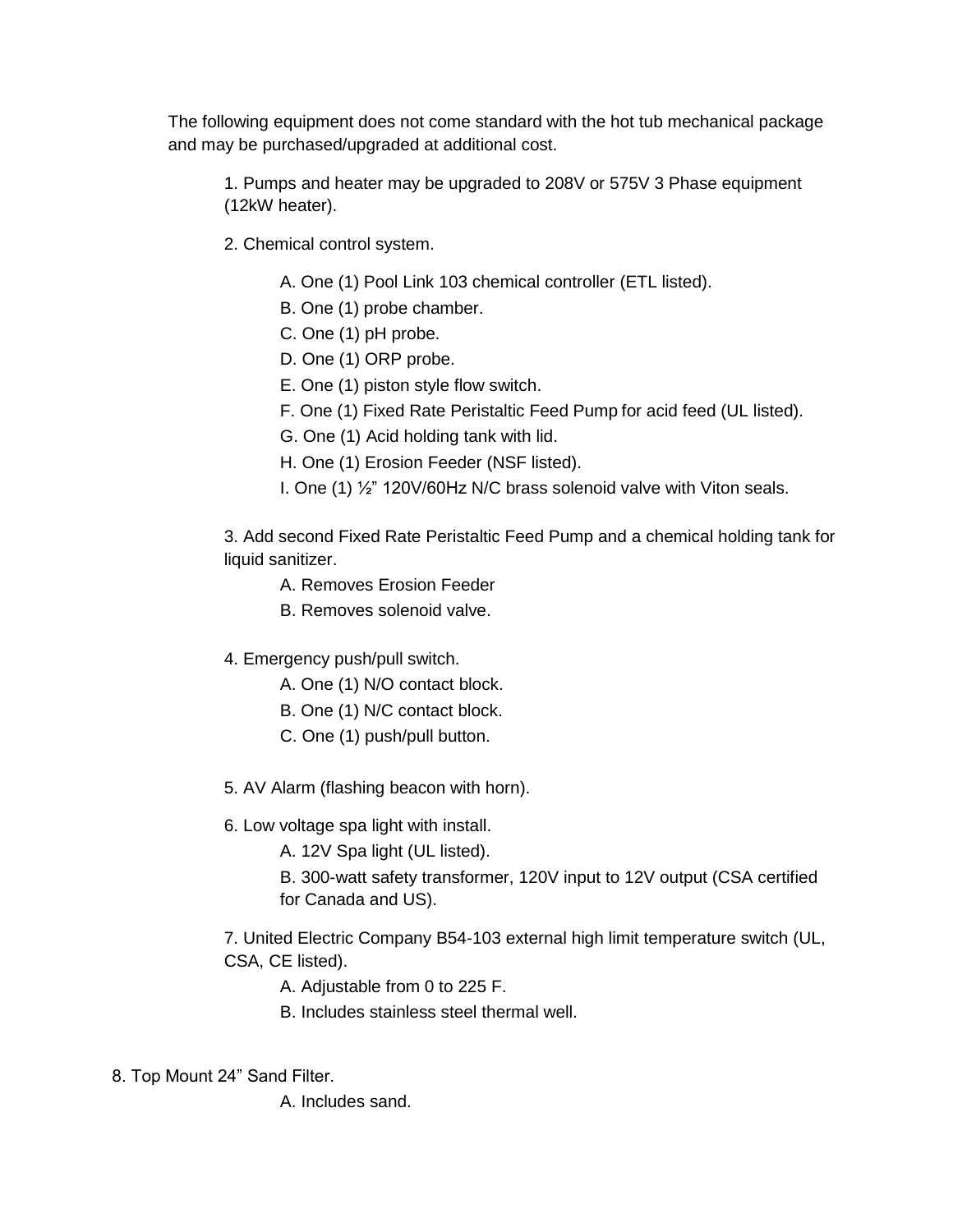The following equipment does not come standard with the hot tub mechanical package and may be purchased/upgraded at additional cost.

1. Pumps and heater may be upgraded to 208V or 575V 3 Phase equipment (12kW heater).

- 2. Chemical control system.
	- A. One (1) Pool Link 103 chemical controller (ETL listed).
	- B. One (1) probe chamber.
	- C. One (1) pH probe.
	- D. One (1) ORP probe.
	- E. One (1) piston style flow switch.
	- F. One (1) Fixed Rate Peristaltic Feed Pump for acid feed (UL listed).
	- G. One (1) Acid holding tank with lid.
	- H. One (1) Erosion Feeder (NSF listed).
	- I. One (1) ½" 120V/60Hz N/C brass solenoid valve with Viton seals.

3. Add second Fixed Rate Peristaltic Feed Pump and a chemical holding tank for liquid sanitizer.

- A. Removes Erosion Feeder
- B. Removes solenoid valve.
- 4. Emergency push/pull switch.
	- A. One (1) N/O contact block.
	- B. One (1) N/C contact block.
	- C. One (1) push/pull button.
- 5. AV Alarm (flashing beacon with horn).
- 6. Low voltage spa light with install.
	- A. 12V Spa light (UL listed).
	- B. 300-watt safety transformer, 120V input to 12V output (CSA certified for Canada and US).

7. United Electric Company B54-103 external high limit temperature switch (UL, CSA, CE listed).

- A. Adjustable from 0 to 225 F.
- B. Includes stainless steel thermal well.
- 8. Top Mount 24" Sand Filter.
	- A. Includes sand.